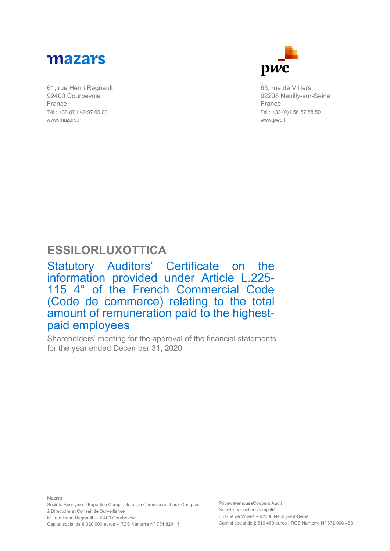

61, rue Henri Regnault 92400 Courbevoie France Tél : +33 (0)1 49 97 60 00 www.mazars.fr



63, rue de Villiers 92208 Neuilly-sur-Seine France Tél : +33 (0)1 56 57 58 59 www.pwc.fr

## **ESSILORLUXOTTICA**

Statutory Auditors' Certificate on the information provided under Article L.225- 115 4° of the French Commercial Code (Code de commerce) relating to the total amount of remuneration paid to the highest-<br>paid employees

Shareholders' meeting for the approval of the financial statements for the year ended December 31, 2020

Mazars Société Anonyme d'Expertise Comptable et de Commissariat aux Comptes à Directoire et Conseil de Surveillance 61, rue Henri Regnault – 92400 Courbevoie Capital social de 8 320 000 euros – RCS Nanterre N° 784 824 15

PricewaterhouseCoopers Audit Société par actions simplifiée 63 Rue de Villiers – 92208 Neuilly-sur-Seine Capital social de 2 510 460 euros - RCS Nanterre N° 672 006 483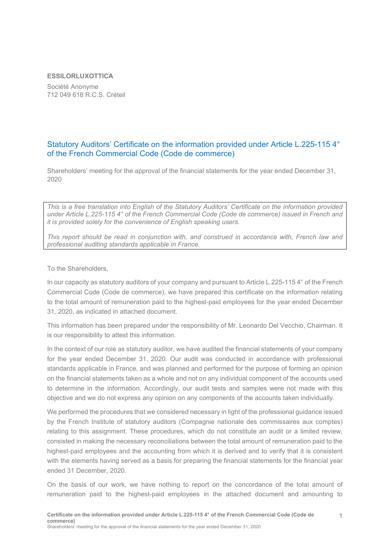## **ESSILORLUXOTTICA**

Société Anonyme 712 049 618 R.C.S. Créteil

## Statutory Auditors' Certificate on the information provided under Article L.225-115 4° of the French Commercial Code (Code de commerce)

Shareholders' meeting for the approval of the financial statements for the year ended December 31, 2020

*This is a free translation into English of the Statutory Auditors' Certificate on the information provided under Article L.225-115 4° of the French Commercial Code (Code de commerce) issued in French and it is provided solely for the convenience of English speaking users.*

*This report should be read in conjunction with, and construed in accordance with, French law and professional auditing standards applicable in France.*

To the Shareholders,

In our capacity as statutory auditors of your company and pursuant to Article L.225-115 4° of the French Commercial Code (Code de commerce), we have prepared this certificate on the information relating to the total amount of remuneration paid to the highest-paid employees for the year ended December 31, 2020, as indicated in attached document.

This information has been prepared under the responsibility of Mr. Leonardo Del Vecchio, Chairman. It is our responsibility to attest this information.

In the context of our role as statutory auditor, we have audited the financial statements of your company for the year ended December 31, 2020. Our audit was conducted in accordance with professional standards applicable in France, and was planned and performed for the purpose of forming an opinion on the financial statements taken as a whole and not on any individual component of the accounts used to determine in the information. Accordingly, our audit tests and samples were not made with this objective and we do not express any opinion on any components of the accounts taken individually.

We performed the procedures that we considered necessary in light of the professional guidance issued by the French Institute of statutory auditors (Compagnie nationale des commissaires aux comptes) relating to this assignment. These procedures, which do not constitute an audit or a limited review, consisted in making the necessary reconciliations between the total amount of remuneration paid to the highest-paid employees and the accounting from which it is derived and to verify that it is consistent with the elements having served as a basis for preparing the financial statements for the financial year ended 31 December, 2020.

On the basis of our work, we have nothing to report on the concordance of the total amount of remuneration paid to the highest-paid employees in the attached document and amounting to